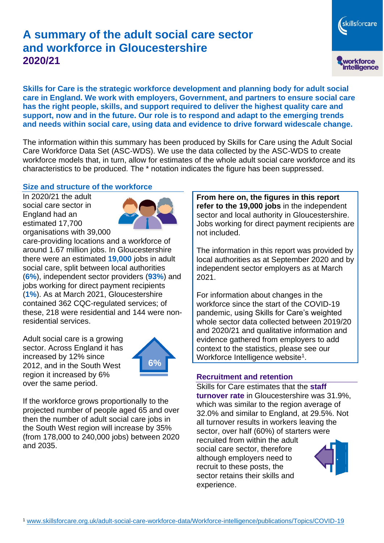# **A summary of the adult social care sector and workforce in Gloucestershire 2020/21**

skillsforcare workforce<br>intelligence

**Skills for Care is the strategic workforce development and planning body for adult social care in England. We work with employers, Government, and partners to ensure social care has the right people, skills, and support required to deliver the highest quality care and support, now and in the future. Our role is to respond and adapt to the emerging trends and needs within social care, using data and evidence to drive forward widescale change.**

The information within this summary has been produced by Skills for Care using the Adult Social Care Workforce Data Set (ASC-WDS). We use the data collected by the ASC-WDS to create workforce models that, in turn, allow for estimates of the whole adult social care workforce and its characteristics to be produced. The \* notation indicates the figure has been suppressed.

#### **Size and structure of the workforce**

In 2020/21 the adult social care sector in England had an estimated 17,700 organisations with 39,000



care-providing locations and a workforce of around 1.67 million jobs. In Gloucestershire there were an estimated **19,000** jobs in adult social care, split between local authorities (**6%**), independent sector providers (**93%**) and jobs working for direct payment recipients (**1%**). As at March 2021, Gloucestershire contained 362 CQC-regulated services; of these, 218 were residential and 144 were nonresidential services.

Adult social care is a growing sector. Across England it has increased by 12% since 2012, and in the South West region it increased by 6% over the same period.



If the workforce grows proportionally to the projected number of people aged 65 and over then the number of adult social care jobs in the South West region will increase by 35% (from 178,000 to 240,000 jobs) between 2020 and 2035.

**From here on, the figures in this report refer to the 19,000 jobs** in the independent sector and local authority in Gloucestershire. Jobs working for direct payment recipients are not included.

The information in this report was provided by local authorities as at September 2020 and by independent sector employers as at March 2021.

For information about changes in the workforce since the start of the COVID-19 pandemic, using Skills for Care's weighted whole sector data collected between 2019/20 and 2020/21 and qualitative information and evidence gathered from employers to add context to the statistics, please see our Workforce Intelligence website<sup>1</sup>.

#### **Recruitment and retention**

Skills for Care estimates that the **staff turnover rate** in Gloucestershire was 31.9%, which was similar to the region average of 32.0% and similar to England, at 29.5%. Not all turnover results in workers leaving the sector, over half (60%) of starters were recruited from within the adult social care sector, therefore although employers need to recruit to these posts, the sector retains their skills and experience.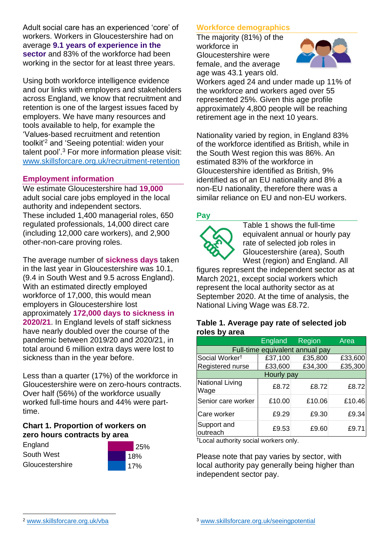Adult social care has an experienced 'core' of workers. Workers in Gloucestershire had on average **9.1 years of experience in the sector** and 83% of the workforce had been working in the sector for at least three years.

Using both workforce intelligence evidence and our links with employers and stakeholders across England, we know that recruitment and retention is one of the largest issues faced by employers. We have many resources and tools available to help, for example the 'Values-based recruitment and retention toolkit'<sup>2</sup> and 'Seeing potential: widen your talent pool'. <sup>3</sup> For more information please visit: [www.skillsforcare.org.uk/recruitment-retention](http://www.skillsforcare.org.uk/recruitment-retention)

#### **Employment information**

We estimate Gloucestershire had **19,000** adult social care jobs employed in the local authority and independent sectors. These included 1,400 managerial roles, 650 regulated professionals, 14,000 direct care (including 12,000 care workers), and 2,900 other-non-care proving roles.

The average number of **sickness days** taken in the last year in Gloucestershire was 10.1, (9.4 in South West and 9.5 across England). With an estimated directly employed workforce of 17,000, this would mean employers in Gloucestershire lost approximately **172,000 days to sickness in 2020/21**. In England levels of staff sickness have nearly doubled over the course of the pandemic between 2019/20 and 2020/21, in total around 6 million extra days were lost to sickness than in the year before.

Less than a quarter (17%) of the workforce in Gloucestershire were on zero-hours contracts. Over half (56%) of the workforce usually worked full-time hours and 44% were parttime.

#### **Chart 1. Proportion of workers on zero hours contracts by area**

England South West **Gloucestershire** 



### **Workforce demographics**

The majority (81%) of the workforce in Gloucestershire were female, and the average age was 43.1 years old.



Workers aged 24 and under made up 11% of the workforce and workers aged over 55 represented 25%. Given this age profile approximately 4,800 people will be reaching retirement age in the next 10 years.

Nationality varied by region, in England 83% of the workforce identified as British, while in the South West region this was 86%. An estimated 83% of the workforce in Gloucestershire identified as British, 9% identified as of an EU nationality and 8% a non-EU nationality, therefore there was a similar reliance on EU and non-EU workers.

### **Pay**



Table 1 shows the full-time equivalent annual or hourly pay rate of selected job roles in Gloucestershire (area), South West (region) and England. All

figures represent the independent sector as at March 2021, except social workers which represent the local authority sector as at September 2020. At the time of analysis, the National Living Wage was £8.72.

#### **Table 1. Average pay rate of selected job roles by area**

|                                 | England | Region  | Area    |
|---------------------------------|---------|---------|---------|
| Full-time equivalent annual pay |         |         |         |
| Social Worker <sup>t</sup>      | £37,100 | £35,800 | £33,600 |
| Registered nurse                | £33,600 | £34,300 | £35,300 |
| Hourly pay                      |         |         |         |
| <b>National Living</b><br>Wage  | £8.72   | £8.72   | £8.72   |
| Senior care worker              | £10.00  | £10.06  | £10.46  |
| <b>Care worker</b>              | £9.29   | £9.30   | £9.34   |
| Support and<br>outreach         | £9.53   | £9.60   | £9.71   |

†Local authority social workers only.

Please note that pay varies by sector, with local authority pay generally being higher than independent sector pay.

[www.skillsforcare.org.uk/vba](http://www.skillsforcare.org.uk/vba)